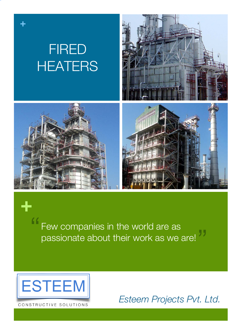

"<br>" Few companies in the world are as passionate about their work as we are! "



**+**

CONSTRUCTIVE SOLUTIONS

*Esteem Projects Pvt. Ltd.*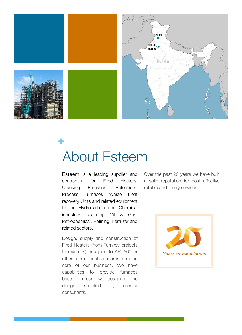

# About Esteem **+**

Esteem is a leading supplier and contractor for Fired Heaters, Cracking Furnaces, Reformers, Process Furnaces Waste Heat recovery Units and related equipment to the Hydrocarbon and Chemical industries spanning Oil & Gas, Petrochemical, Refining, Fertilizer and related sectors.

Design, supply and construction of Fired Heaters (from Turnkey projects to revamps) designed to API 560 or other international standards form the core of our business. We have capabilities to provide furnaces based on our own design or the design supplied by clients/ consultants.

Over the past 20 years we have built a solid reputation for cost effective reliable and timely services.

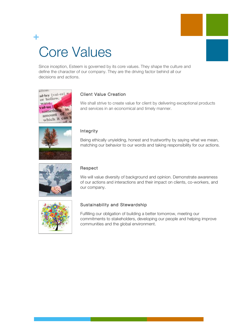# Core Values **+**

Since inception, Esteem is governed by its core values. They shape the culture and define the character of our company. They are the driving factor behind all our decisions and actions.





### Client Value Creation

We shall strive to create value for client by delivering exceptional products and services in an economical and timely manner.

### Integrity

Being ethically unyielding, honest and trustworthy by saying what we mean, matching our behavior to our words and taking responsibility for our actions.



#### Respect

We will value diversity of background and opinion. Demonstrate awareness of our actions and interactions and their impact on clients, co-workers, and our company.



#### Sustainability and Stewardship

Fulfilling our obligation of building a better tomorrow, meeting our commitments to stakeholders, developing our people and helping improve communities and the global environment.